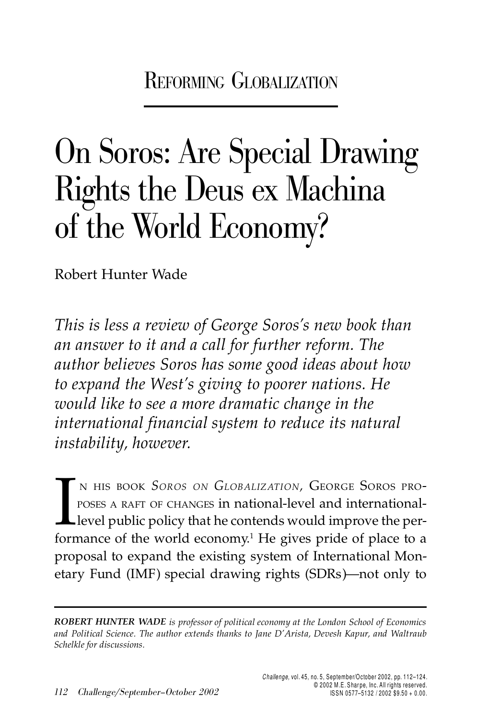REFORMING GLOBALIZATION

# On Soros: Are Special Drawing Rights the Deus ex Machina of the World Economy?

Robert Hunter Wade

*This is less a review of George Soros's new book than an answer to it and a call for further reform. The author believes Soros has some good ideas about how to expand the West's giving to poorer nations. He would like to see a more dramatic change in the international financial system to reduce its natural instability, however.*

N HIS BOOK<br>POSES A RAFT<br>Level public <sup>N</sup> HIS BOOK *SOROS ON GLOBALIZATION,* GEORGE SOROS PRO-POSES <sup>A</sup> RAFT OF CHANGES in national-level and internationallevel public policy that he contends would improve the performance of the world economy.<sup>1</sup> He gives pride of place to a proposal to expand the existing system of International Monetary Fund (IMF) special drawing rights (SDRs)—not only to

*ROBERT HUNTER WADE is professor of political economy at the London School of Economics and Political Science. The author extends thanks to Jane D'Arista, Devesh Kapur, and Waltraub Schelkle for discussions.*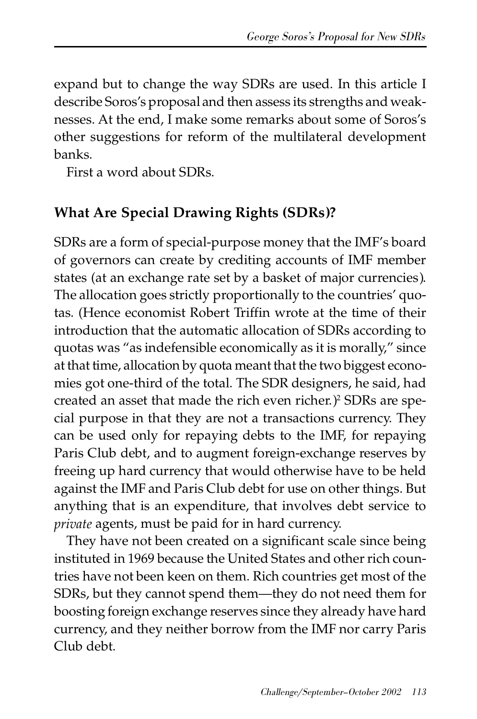expand but to change the way SDRs are used. In this article I describe Soros's proposal and then assess its strengths and weaknesses. At the end, I make some remarks about some of Soros's other suggestions for reform of the multilateral development banks.

First a word about SDRs.

## **What Are Special Drawing Rights (SDRs)?**

SDRs are a form of special-purpose money that the IMF's board of governors can create by crediting accounts of IMF member states (at an exchange rate set by a basket of major currencies). The allocation goes strictly proportionally to the countries' quotas. (Hence economist Robert Triffin wrote at the time of their introduction that the automatic allocation of SDRs according to quotas was "as indefensible economically as it is morally," since at that time, allocation by quota meant that the two biggest economies got one-third of the total. The SDR designers, he said, had created an asset that made the rich even richer.)<sup>2</sup> SDRs are special purpose in that they are not a transactions currency. They can be used only for repaying debts to the IMF, for repaying Paris Club debt, and to augment foreign-exchange reserves by freeing up hard currency that would otherwise have to be held against the IMF and Paris Club debt for use on other things. But anything that is an expenditure, that involves debt service to *private* agents, must be paid for in hard currency.

They have not been created on a significant scale since being instituted in 1969 because the United States and other rich countries have not been keen on them. Rich countries get most of the SDRs, but they cannot spend them—they do not need them for boosting foreign exchange reserves since they already have hard currency, and they neither borrow from the IMF nor carry Paris Club debt.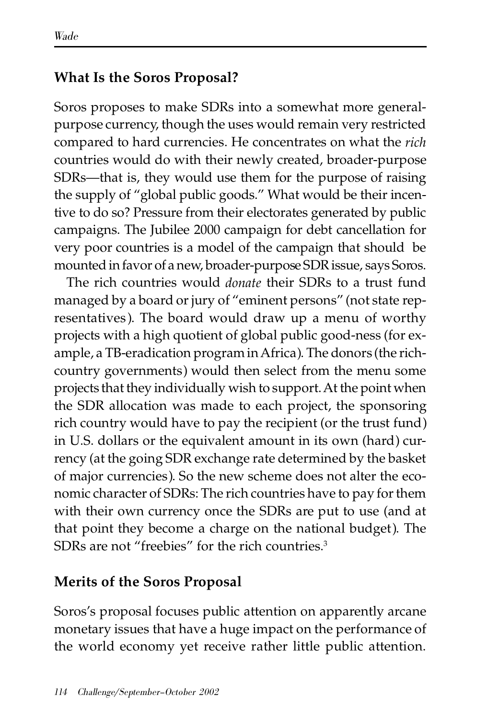#### **What Is the Soros Proposal?**

Soros proposes to make SDRs into a somewhat more generalpurpose currency, though the uses would remain very restricted compared to hard currencies. He concentrates on what the *rich* countries would do with their newly created, broader-purpose SDRs—that is, they would use them for the purpose of raising the supply of "global public goods." What would be their incentive to do so? Pressure from their electorates generated by public campaigns. The Jubilee 2000 campaign for debt cancellation for very poor countries is a model of the campaign that should be mounted in favor of a new, broader-purpose SDR issue, says Soros.

The rich countries would *donate* their SDRs to a trust fund managed by a board or jury of "eminent persons" (not state representatives). The board would draw up a menu of worthy projects with a high quotient of global public good-ness (for example, a TB-eradication program in Africa). The donors (the richcountry governments) would then select from the menu some projects that they individually wish to support. At the point when the SDR allocation was made to each project, the sponsoring rich country would have to pay the recipient (or the trust fund) in U.S. dollars or the equivalent amount in its own (hard) currency (at the going SDR exchange rate determined by the basket of major currencies). So the new scheme does not alter the economic character of SDRs: The rich countries have to pay for them with their own currency once the SDRs are put to use (and at that point they become a charge on the national budget). The SDRs are not "freebies" for the rich countries.<sup>3</sup>

## **Merits of the Soros Proposal**

Soros's proposal focuses public attention on apparently arcane monetary issues that have a huge impact on the performance of the world economy yet receive rather little public attention.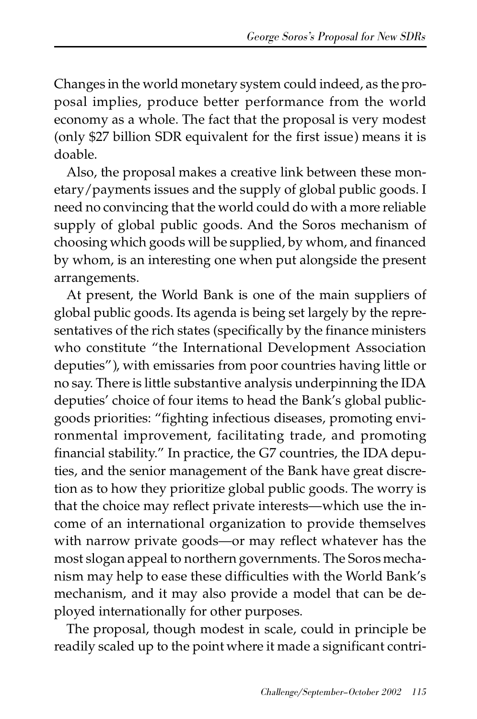Changes in the world monetary system could indeed, as the proposal implies, produce better performance from the world economy as a whole. The fact that the proposal is very modest (only \$27 billion SDR equivalent for the first issue) means it is doable.

Also, the proposal makes a creative link between these monetary/payments issues and the supply of global public goods. I need no convincing that the world could do with a more reliable supply of global public goods. And the Soros mechanism of choosing which goods will be supplied, by whom, and financed by whom, is an interesting one when put alongside the present arrangements.

At present, the World Bank is one of the main suppliers of global public goods. Its agenda is being set largely by the representatives of the rich states (specifically by the finance ministers who constitute "the International Development Association deputies"), with emissaries from poor countries having little or no say. There is little substantive analysis underpinning the IDA deputies' choice of four items to head the Bank's global publicgoods priorities: "fighting infectious diseases, promoting environmental improvement, facilitating trade, and promoting financial stability." In practice, the G7 countries, the IDA deputies, and the senior management of the Bank have great discretion as to how they prioritize global public goods. The worry is that the choice may reflect private interests—which use the income of an international organization to provide themselves with narrow private goods—or may reflect whatever has the most slogan appeal to northern governments. The Soros mechanism may help to ease these difficulties with the World Bank's mechanism, and it may also provide a model that can be deployed internationally for other purposes.

The proposal, though modest in scale, could in principle be readily scaled up to the point where it made a significant contri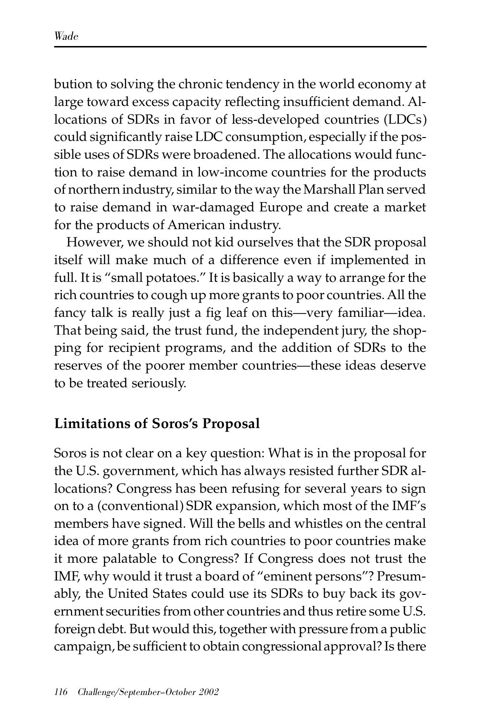bution to solving the chronic tendency in the world economy at large toward excess capacity reflecting insufficient demand. Allocations of SDRs in favor of less-developed countries (LDCs) could significantly raise LDC consumption, especially if the possible uses of SDRs were broadened. The allocations would function to raise demand in low-income countries for the products of northern industry, similar to the way the Marshall Plan served to raise demand in war-damaged Europe and create a market for the products of American industry.

However, we should not kid ourselves that the SDR proposal itself will make much of a difference even if implemented in full. It is "small potatoes." It is basically a way to arrange for the rich countries to cough up more grants to poor countries. All the fancy talk is really just a fig leaf on this—very familiar—idea. That being said, the trust fund, the independent jury, the shopping for recipient programs, and the addition of SDRs to the reserves of the poorer member countries—these ideas deserve to be treated seriously.

## **Limitations of Soros's Proposal**

Soros is not clear on a key question: What is in the proposal for the U.S. government, which has always resisted further SDR allocations? Congress has been refusing for several years to sign on to a (conventional) SDR expansion, which most of the IMF's members have signed. Will the bells and whistles on the central idea of more grants from rich countries to poor countries make it more palatable to Congress? If Congress does not trust the IMF, why would it trust a board of "eminent persons"? Presumably, the United States could use its SDRs to buy back its government securities from other countries and thus retire some U.S. foreign debt. But would this, together with pressure from a public campaign, be sufficient to obtain congressional approval? Is there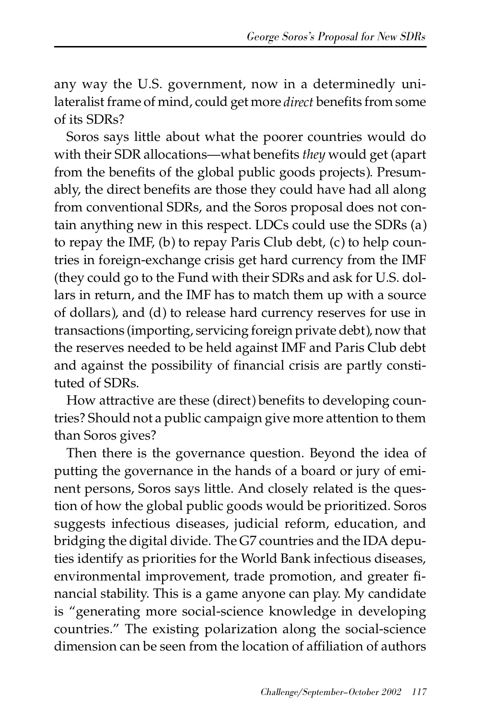any way the U.S. government, now in a determinedly unilateralist frame of mind, could get more *direct* benefits from some of its SDRs?

Soros says little about what the poorer countries would do with their SDR allocations—what benefits *they* would get (apart from the benefits of the global public goods projects). Presumably, the direct benefits are those they could have had all along from conventional SDRs, and the Soros proposal does not contain anything new in this respect. LDCs could use the SDRs (a) to repay the IMF, (b) to repay Paris Club debt, (c) to help countries in foreign-exchange crisis get hard currency from the IMF (they could go to the Fund with their SDRs and ask for U.S. dollars in return, and the IMF has to match them up with a source of dollars), and (d) to release hard currency reserves for use in transactions (importing, servicing foreign private debt), now that the reserves needed to be held against IMF and Paris Club debt and against the possibility of financial crisis are partly constituted of SDRs.

How attractive are these (direct) benefits to developing countries? Should not a public campaign give more attention to them than Soros gives?

Then there is the governance question. Beyond the idea of putting the governance in the hands of a board or jury of eminent persons, Soros says little. And closely related is the question of how the global public goods would be prioritized. Soros suggests infectious diseases, judicial reform, education, and bridging the digital divide. The G7 countries and the IDA deputies identify as priorities for the World Bank infectious diseases, environmental improvement, trade promotion, and greater financial stability. This is a game anyone can play. My candidate is "generating more social-science knowledge in developing countries." The existing polarization along the social-science dimension can be seen from the location of affiliation of authors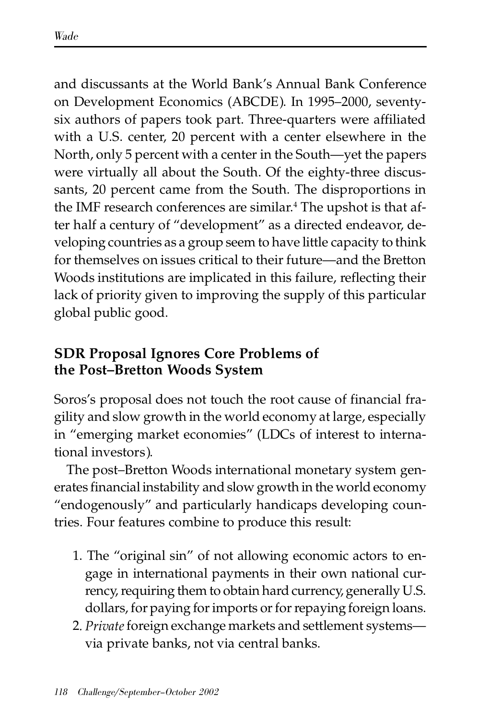and discussants at the World Bank's Annual Bank Conference on Development Economics (ABCDE). In 1995–2000, seventysix authors of papers took part. Three-quarters were affiliated with a U.S. center, 20 percent with a center elsewhere in the North, only 5 percent with a center in the South—yet the papers were virtually all about the South. Of the eighty-three discussants, 20 percent came from the South. The disproportions in the IMF research conferences are similar.<sup>4</sup> The upshot is that after half a century of "development" as a directed endeavor, developing countries as a group seem to have little capacity to think for themselves on issues critical to their future—and the Bretton Woods institutions are implicated in this failure, reflecting their lack of priority given to improving the supply of this particular global public good.

# **SDR Proposal Ignores Core Problems of the Post–Bretton Woods System**

Soros's proposal does not touch the root cause of financial fragility and slow growth in the world economy at large, especially in "emerging market economies" (LDCs of interest to international investors).

The post–Bretton Woods international monetary system generates financial instability and slow growth in the world economy "endogenously" and particularly handicaps developing countries. Four features combine to produce this result:

- 1. The "original sin" of not allowing economic actors to engage in international payments in their own national currency, requiring them to obtain hard currency, generally U.S. dollars, for paying for imports or for repaying foreign loans.
- 2*. Private* foreign exchange markets and settlement systems via private banks, not via central banks.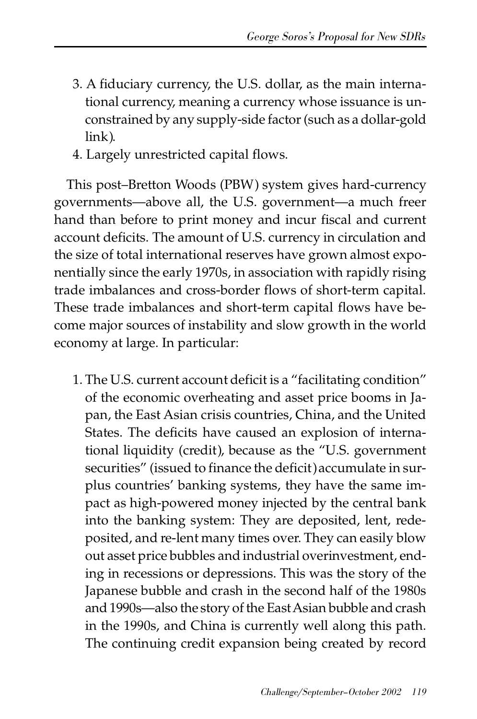- 3. A fiduciary currency, the U.S. dollar, as the main international currency, meaning a currency whose issuance is unconstrained by any supply-side factor (such as a dollar-gold link).
- 4. Largely unrestricted capital flows.

This post–Bretton Woods (PBW) system gives hard-currency governments—above all, the U.S. government—a much freer hand than before to print money and incur fiscal and current account deficits. The amount of U.S. currency in circulation and the size of total international reserves have grown almost exponentially since the early 1970s, in association with rapidly rising trade imbalances and cross-border flows of short-term capital. These trade imbalances and short-term capital flows have become major sources of instability and slow growth in the world economy at large. In particular:

1. The U.S. current account deficit is a "facilitating condition" of the economic overheating and asset price booms in Japan, the East Asian crisis countries, China, and the United States. The deficits have caused an explosion of international liquidity (credit), because as the "U.S. government securities" (issued to finance the deficit) accumulate in surplus countries' banking systems, they have the same impact as high-powered money injected by the central bank into the banking system: They are deposited, lent, redeposited, and re-lent many times over. They can easily blow out asset price bubbles and industrial overinvestment, ending in recessions or depressions. This was the story of the Japanese bubble and crash in the second half of the 1980s and 1990s—also the story of the East Asian bubble and crash in the 1990s, and China is currently well along this path. The continuing credit expansion being created by record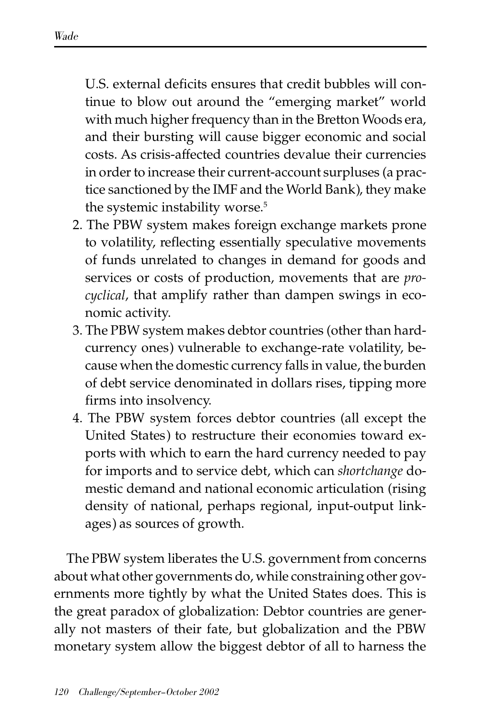U.S. external deficits ensures that credit bubbles will continue to blow out around the "emerging market" world with much higher frequency than in the Bretton Woods era, and their bursting will cause bigger economic and social costs. As crisis-affected countries devalue their currencies in order to increase their current-account surpluses (a practice sanctioned by the IMF and the World Bank), they make the systemic instability worse.<sup>5</sup>

- 2. The PBW system makes foreign exchange markets prone to volatility, reflecting essentially speculative movements of funds unrelated to changes in demand for goods and services or costs of production, movements that are *procyclical*, that amplify rather than dampen swings in economic activity.
- 3. The PBW system makes debtor countries (other than hardcurrency ones) vulnerable to exchange-rate volatility, because when the domestic currency falls in value, the burden of debt service denominated in dollars rises, tipping more firms into insolvency.
- 4. The PBW system forces debtor countries (all except the United States) to restructure their economies toward exports with which to earn the hard currency needed to pay for imports and to service debt, which can *shortchange* domestic demand and national economic articulation (rising density of national, perhaps regional, input-output linkages) as sources of growth.

The PBW system liberates the U.S. government from concerns about what other governments do, while constraining other governments more tightly by what the United States does. This is the great paradox of globalization: Debtor countries are generally not masters of their fate, but globalization and the PBW monetary system allow the biggest debtor of all to harness the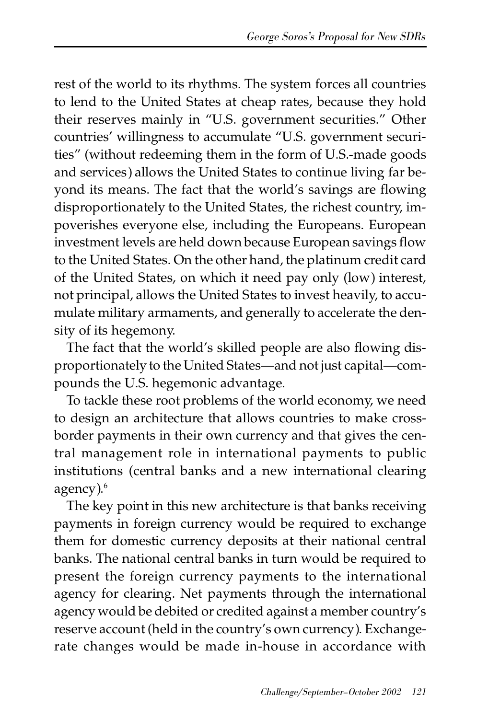rest of the world to its rhythms. The system forces all countries to lend to the United States at cheap rates, because they hold their reserves mainly in "U.S. government securities." Other countries' willingness to accumulate "U.S. government securities" (without redeeming them in the form of U.S.-made goods and services) allows the United States to continue living far beyond its means. The fact that the world's savings are flowing disproportionately to the United States, the richest country, impoverishes everyone else, including the Europeans. European investment levels are held down because European savings flow to the United States. On the other hand, the platinum credit card of the United States, on which it need pay only (low) interest, not principal, allows the United States to invest heavily, to accumulate military armaments, and generally to accelerate the density of its hegemony.

The fact that the world's skilled people are also flowing disproportionately to the United States—and not just capital—compounds the U.S. hegemonic advantage.

To tackle these root problems of the world economy, we need to design an architecture that allows countries to make crossborder payments in their own currency and that gives the central management role in international payments to public institutions (central banks and a new international clearing agency).<sup>6</sup>

The key point in this new architecture is that banks receiving payments in foreign currency would be required to exchange them for domestic currency deposits at their national central banks. The national central banks in turn would be required to present the foreign currency payments to the international agency for clearing. Net payments through the international agency would be debited or credited against a member country's reserve account (held in the country's own currency). Exchangerate changes would be made in-house in accordance with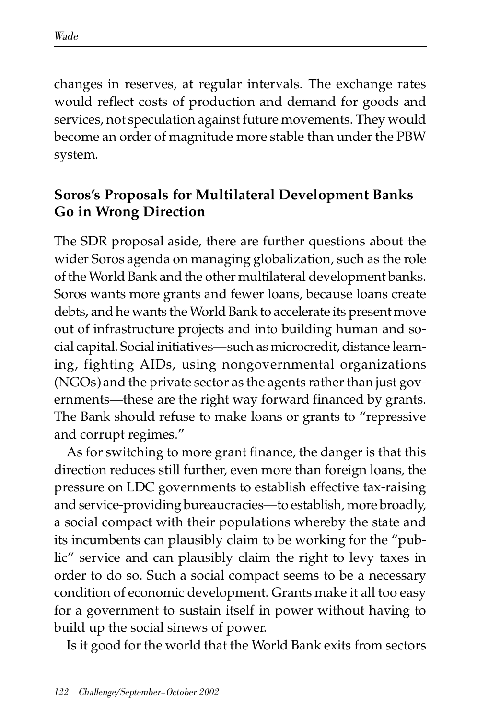changes in reserves, at regular intervals. The exchange rates would reflect costs of production and demand for goods and services, not speculation against future movements. They would become an order of magnitude more stable than under the PBW system.

#### **Soros's Proposals for Multilateral Development Banks Go in Wrong Direction**

The SDR proposal aside, there are further questions about the wider Soros agenda on managing globalization, such as the role of the World Bank and the other multilateral development banks. Soros wants more grants and fewer loans, because loans create debts, and he wants the World Bank to accelerate its present move out of infrastructure projects and into building human and social capital. Social initiatives—such as microcredit, distance learning, fighting AIDs, using nongovernmental organizations (NGOs) and the private sector as the agents rather than just governments—these are the right way forward financed by grants. The Bank should refuse to make loans or grants to "repressive and corrupt regimes."

As for switching to more grant finance, the danger is that this direction reduces still further, even more than foreign loans, the pressure on LDC governments to establish effective tax-raising and service-providing bureaucracies—to establish, more broadly, a social compact with their populations whereby the state and its incumbents can plausibly claim to be working for the "public" service and can plausibly claim the right to levy taxes in order to do so. Such a social compact seems to be a necessary condition of economic development. Grants make it all too easy for a government to sustain itself in power without having to build up the social sinews of power.

Is it good for the world that the World Bank exits from sectors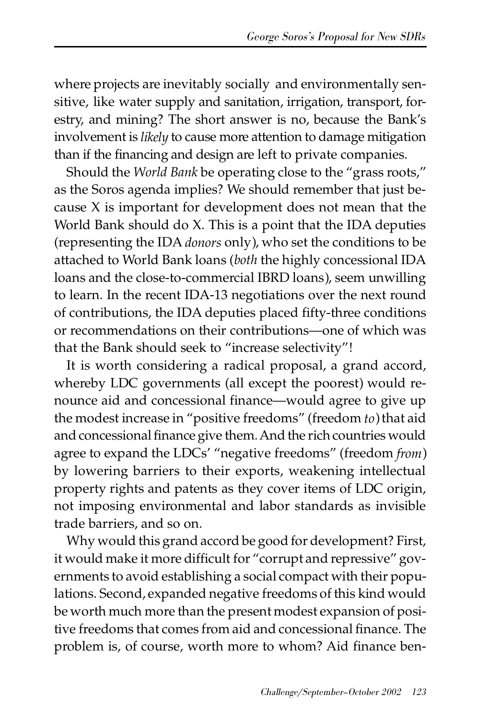where projects are inevitably socially and environmentally sensitive, like water supply and sanitation, irrigation, transport, forestry, and mining? The short answer is no, because the Bank's involvement is *likely* to cause more attention to damage mitigation than if the financing and design are left to private companies.

Should the *World Bank* be operating close to the "grass roots," as the Soros agenda implies? We should remember that just because X is important for development does not mean that the World Bank should do X. This is a point that the IDA deputies (representing the IDA *donors* only), who set the conditions to be attached to World Bank loans (*both* the highly concessional IDA loans and the close-to-commercial IBRD loans), seem unwilling to learn. In the recent IDA-13 negotiations over the next round of contributions, the IDA deputies placed fifty-three conditions or recommendations on their contributions—one of which was that the Bank should seek to "increase selectivity"!

It is worth considering a radical proposal, a grand accord, whereby LDC governments (all except the poorest) would renounce aid and concessional finance—would agree to give up the modest increase in "positive freedoms" (freedom *to*) that aid and concessional finance give them. And the rich countries would agree to expand the LDCs' "negative freedoms" (freedom *from*) by lowering barriers to their exports, weakening intellectual property rights and patents as they cover items of LDC origin, not imposing environmental and labor standards as invisible trade barriers, and so on.

Why would this grand accord be good for development? First, it would make it more difficult for "corrupt and repressive" governments to avoid establishing a social compact with their populations. Second, expanded negative freedoms of this kind would be worth much more than the present modest expansion of positive freedoms that comes from aid and concessional finance. The problem is, of course, worth more to whom? Aid finance ben